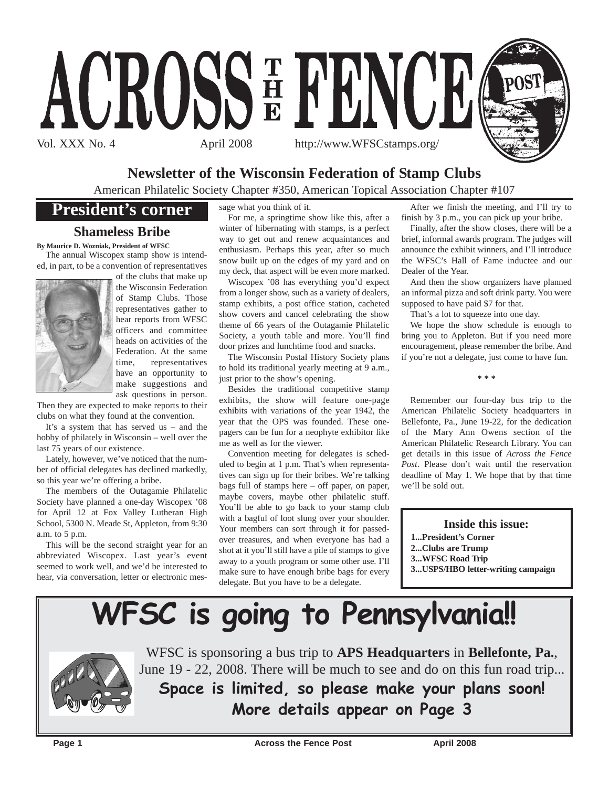

### **Newsletter of the Wisconsin Federation of Stamp Clubs**

American Philatelic Society Chapter #350, American Topical Association Chapter #107

### **President's corner**

### **Shameless Bribe**

**By Maurice D. Wozniak, President of WFSC**

The annual Wiscopex stamp show is intended, in part, to be a convention of representatives



of the clubs that make up the Wisconsin Federation of Stamp Clubs. Those representatives gather to hear reports from WFSC officers and committee heads on activities of the Federation. At the same time, representatives have an opportunity to make suggestions and ask questions in person.

Then they are expected to make reports to their clubs on what they found at the convention.

It's a system that has served us – and the hobby of philately in Wisconsin – well over the last 75 years of our existence.

Lately, however, we've noticed that the number of official delegates has declined markedly, so this year we're offering a bribe.

The members of the Outagamie Philatelic Society have planned a one-day Wiscopex '08 for April 12 at Fox Valley Lutheran High School, 5300 N. Meade St, Appleton, from 9:30 a.m. to 5 p.m.

This will be the second straight year for an abbreviated Wiscopex. Last year's event seemed to work well, and we'd be interested to hear, via conversation, letter or electronic message what you think of it.

For me, a springtime show like this, after a winter of hibernating with stamps, is a perfect way to get out and renew acquaintances and enthusiasm. Perhaps this year, after so much snow built up on the edges of my yard and on my deck, that aspect will be even more marked.

Wiscopex '08 has everything you'd expect from a longer show, such as a variety of dealers, stamp exhibits, a post office station, cacheted show covers and cancel celebrating the show theme of 66 years of the Outagamie Philatelic Society, a youth table and more. You'll find door prizes and lunchtime food and snacks.

The Wisconsin Postal History Society plans to hold its traditional yearly meeting at 9 a.m., just prior to the show's opening.

Besides the traditional competitive stamp exhibits, the show will feature one-page exhibits with variations of the year 1942, the year that the OPS was founded. These onepagers can be fun for a neophyte exhibitor like me as well as for the viewer.

Convention meeting for delegates is scheduled to begin at 1 p.m. That's when representatives can sign up for their bribes. We're talking bags full of stamps here – off paper, on paper, maybe covers, maybe other philatelic stuff. You'll be able to go back to your stamp club with a bagful of loot slung over your shoulder. Your members can sort through it for passedover treasures, and when everyone has had a shot at it you'll still have a pile of stamps to give away to a youth program or some other use. I'll make sure to have enough bribe bags for every delegate. But you have to be a delegate.

After we finish the meeting, and I'll try to finish by 3 p.m., you can pick up your bribe.

Finally, after the show closes, there will be a brief, informal awards program. The judges will announce the exhibit winners, and I'll introduce the WFSC's Hall of Fame inductee and our Dealer of the Year.

And then the show organizers have planned an informal pizza and soft drink party. You were supposed to have paid \$7 for that.

That's a lot to squeeze into one day.

We hope the show schedule is enough to bring you to Appleton. But if you need more encouragement, please remember the bribe. And if you're not a delegate, just come to have fun.

**\* \* \***

Remember our four-day bus trip to the American Philatelic Society headquarters in Bellefonte, Pa., June 19-22, for the dedication of the Mary Ann Owens section of the American Philatelic Research Library. You can get details in this issue of *Across the Fence Post*. Please don't wait until the reservation deadline of May 1. We hope that by that time we'll be sold out.

**Inside this issue: 1...President's Corner 2...Clubs are Trump 3...WFSC Road Trip 3...USPS/HBO letter-writing campaign**

# **WFSC is going to Pennsylvania!!**



WFSC is sponsoring a bus trip to **APS Headquarters** in **Bellefonte, Pa.**, June 19 - 22, 2008. There will be much to see and do on this fun road trip...

**Space is limited, so please make your plans soon! More details appear on Page 3**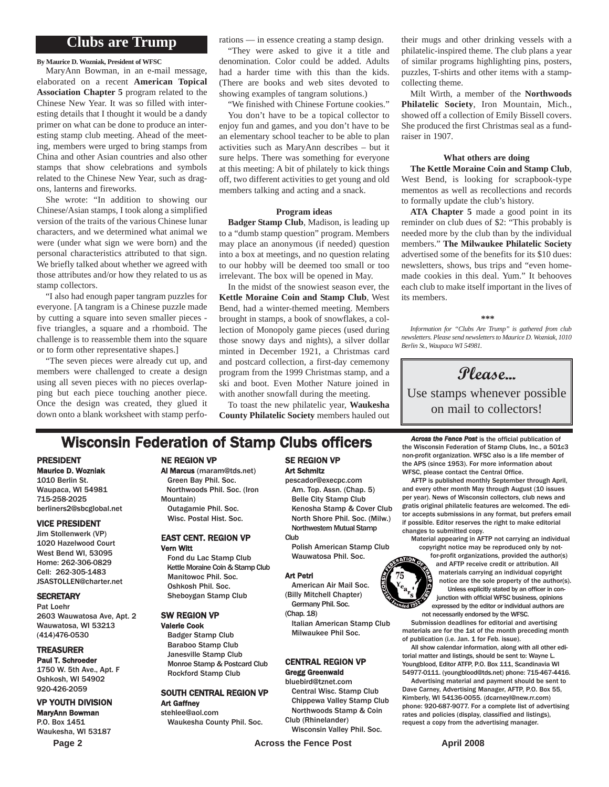#### **Clubs are Trump**

**By Maurice D. Wozniak, President of WFSC**

MaryAnn Bowman, in an e-mail message, elaborated on a recent **American Topical Association Chapter 5** program related to the Chinese New Year. It was so filled with interesting details that I thought it would be a dandy primer on what can be done to produce an interesting stamp club meeting. Ahead of the meeting, members were urged to bring stamps from China and other Asian countries and also other stamps that show celebrations and symbols related to the Chinese New Year, such as dragons, lanterns and fireworks.

She wrote: "In addition to showing our Chinese/Asian stamps, I took along a simplified version of the traits of the various Chinese lunar characters, and we determined what animal we were (under what sign we were born) and the personal characteristics attributed to that sign. We briefly talked about whether we agreed with those attributes and/or how they related to us as stamp collectors.

"I also had enough paper tangram puzzles for everyone. [A tangram is a Chinese puzzle made by cutting a square into seven smaller pieces five triangles, a square and a rhomboid. The challenge is to reassemble them into the square or to form other representative shapes.]

"The seven pieces were already cut up, and members were challenged to create a design using all seven pieces with no pieces overlapping but each piece touching another piece. Once the design was created, they glued it down onto a blank worksheet with stamp perforations — in essence creating a stamp design.

"They were asked to give it a title and denomination. Color could be added. Adults had a harder time with this than the kids. (There are books and web sites devoted to showing examples of tangram solutions.)

"We finished with Chinese Fortune cookies." You don't have to be a topical collector to enjoy fun and games, and you don't have to be an elementary school teacher to be able to plan activities such as MaryAnn describes – but it sure helps. There was something for everyone at this meeting: A bit of philately to kick things off, two different activities to get young and old members talking and acting and a snack.

#### **Program ideas**

**Badger Stamp Club**, Madison, is leading up to a "dumb stamp question" program. Members may place an anonymous (if needed) question into a box at meetings, and no question relating to our hobby will be deemed too small or too irrelevant. The box will be opened in May.

In the midst of the snowiest season ever, the **Kettle Moraine Coin and Stamp Club**, West Bend, had a winter-themed meeting. Members brought in stamps, a book of snowflakes, a collection of Monopoly game pieces (used during those snowy days and nights), a silver dollar minted in December 1921, a Christmas card and postcard collection, a first-day cememony program from the 1999 Christmas stamp, and a ski and boot. Even Mother Nature joined in with another snowfall during the meeting.

To toast the new philatelic year, **Waukesha County Philatelic Society** members hauled out

their mugs and other drinking vessels with a philatelic-inspired theme. The club plans a year of similar programs highlighting pins, posters, puzzles, T-shirts and other items with a stampcollecting theme.

Milt Wirth, a member of the **Northwoods Philatelic Society**, Iron Mountain, Mich., showed off a collection of Emily Bissell covers. She produced the first Christmas seal as a fundraiser in 1907.

#### **What others are doing**

**The Kettle Moraine Coin and Stamp Club**, West Bend, is looking for scrapbook-type mementos as well as recollections and records to formally update the club's history.

**ATA Chapter 5** made a good point in its reminder on club dues of \$2: "This probably is needed more by the club than by the individual members." **The Milwaukee Philatelic Society** advertised some of the benefits for its \$10 dues: newsletters, shows, bus trips and "even homemade cookies in this deal. Yum." It behooves each club to make itself important in the lives of its members.

#### **\*\*\***

*Information for "Clubs Are Trump" is gathered from club newsletters. Please send newsletters to Maurice D. Wozniak, 1010 Berlin St., Waupaca WI 54981.*

### **Please...**

Use stamps whenever possible on mail to collectors!

### **Wisconsin Federation of Stamp Clubs officers** *Across the Fence Post* is the official publication of

#### PRESIDENT

Maurice D. Wozniak 1010 Berlin St. Waupaca, WI 54981 715-258-2025 berliners2@sbcglobal.net

#### VICE PRESIDENT

Jim Stollenwerk (VP) 1020 Hazelwood Court West Bend WI, 53095 Home: 262-306-0829 Cell: 262-305-1483 JSASTOLLEN@charter.net

#### **SECRETARY**

Pat Loehr 2603 Wauwatosa Ave, Apt. 2 Wauwatosa, WI 53213 (414)476-0530

#### TREASURER

Paul T. Schroeder 1750 W. 5th Ave., Apt. F Oshkosh, WI 54902 920-426-2059

#### VP YOUTH DIVISION

MaryAnn Bowman P.O. Box 1451 Waukesha, WI 53187

#### NE REGION VP

Al Marcus (maram@tds.net) Green Bay Phil. Soc. Northwoods Phil. Soc. (Iron Mountain)

Outagamie Phil. Soc. Wisc. Postal Hist. Soc.

#### EAST CENT. REGION VP Vern Witt

Fond du Lac Stamp Club Kettle Moraine Coin & Stamp Club Manitowoc Phil. Soc. Oshkosh Phil. Soc. Sheboygan Stamp Club

#### SW REGION VP

Valerie Cook Badger Stamp Club Baraboo Stamp Club Janesville Stamp Club Monroe Stamp & Postcard Club Rockford Stamp Club

#### SOUTH CENTRAL REGION VP Art Gaffney

stehlee@aol.com Waukesha County Phil. Soc.

#### SE REGION VP Art Schmitz

pescador@execpc.com Am. Top. Assn. (Chap. 5) Belle City Stamp Club Kenosha Stamp & Cover Club North Shore Phil. Soc. (Milw.) Northwestern Mutual Stamp **Club** 

Polish American Stamp Club Wauwatosa Phil. Soc.

#### Art Petri

American Air Mail Soc. (Billy Mitchell Chapter) Germany Phil. Soc.

(Chap. 18)

Italian American Stamp Club Milwaukee Phil Soc.

#### CENTRAL REGION VP Gregg Greenwald

#### bluebird@tznet.com

Central Wisc. Stamp Club Chippewa Valley Stamp Club Northwoods Stamp & Coin

Club (Rhinelander) Wisconsin Valley Phil. Soc.

**Page 2** Across the Fence Post April 2008

the Wisconsin Federation of Stamp Clubs, Inc., a 501c3 non-profit organization. WFSC also is a life member of the APS (since 1953). For more information about WFSC, please contact the Central Office.

AFTP is published monthly September through April, and every other month May through August (10 issues per year). News of Wisconsin collectors, club news and gratis original philatelic features are welcomed. The editor accepts submissions in any format, but prefers email if possible. Editor reserves the right to make editorial changes to submitted copy.

Material appearing in AFTP not carrying an individual copyright notice may be reproduced only by not-

for-profit organizations, provided the author(s) and AFTP receive credit or attribution. All materials carrying an individual copyright notice are the sole property of the author(s). Unless explicitly stated by an officer in conjunction with official WFSC business, opinions expressed by the editor or individual authors are not necessarily endorsed by the WFSC.

Submission deadlines for editorial and avertising materials are for the 1st of the month preceding month of publication (i.e. Jan. 1 for Feb. issue).

All show calendar information, along with all other editorial matter and listings, should be sent to: Wayne L. Youngblood, Editor ATFP, P.O. Box 111, Scandinavia WI 54977-0111. (youngblood@tds.net) phone: 715-467-4416.

Advertising material and payment should be sent to Dave Carney, Advertising Manager, AFTP, P.O. Box 55, Kimberly, WI 54136-0055. (dcarneyl@new.rr.com) phone: 920-687-9077. For a complete list of advertising rates and policies (display, classified and listings), request a copy from the advertising manager.

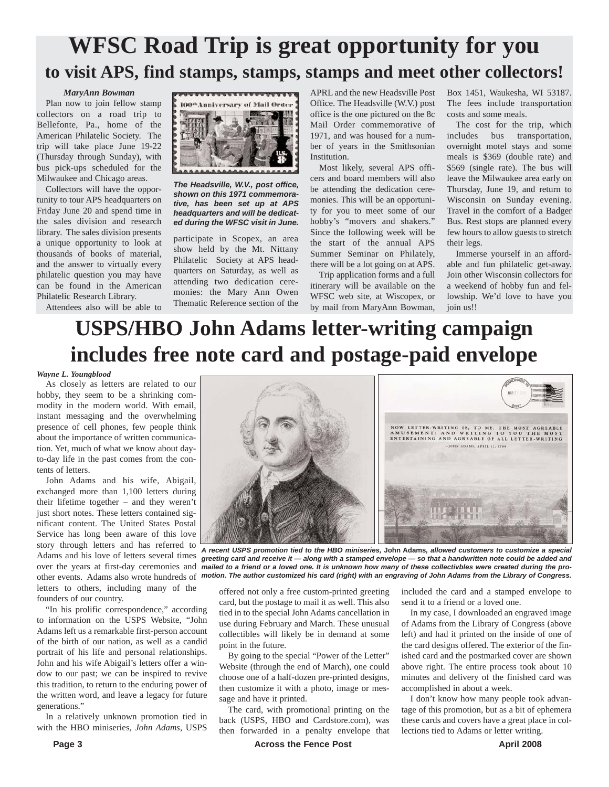# **WFSC Road Trip is great opportunity for you to visit APS, find stamps, stamps, stamps and meet other collectors!**

#### *MaryAnn Bowman*

Plan now to join fellow stamp collectors on a road trip to Bellefonte, Pa., home of the American Philatelic Society. The trip will take place June 19-22 (Thursday through Sunday), with bus pick-ups scheduled for the Milwaukee and Chicago areas.

Collectors will have the opportunity to tour APS headquarters on Friday June 20 and spend time in the sales division and research library. The sales division presents a unique opportunity to look at thousands of books of material, and the answer to virtually every philatelic question you may have can be found in the American Philatelic Research Library.

Attendees also will be able to



*The Headsville, W.V., post office, shown on this 1971 commemorative, has been set up at APS headquarters and will be dedicated during the WFSC visit in June.*

participate in Scopex, an area show held by the Mt. Nittany Philatelic Society at APS headquarters on Saturday, as well as attending two dedication ceremonies: the Mary Ann Owen Thematic Reference section of the

APRL and the new Headsville Post Office. The Headsville (W.V.) post office is the one pictured on the 8c Mail Order commemorative of 1971, and was housed for a number of years in the Smithsonian Institution.

Most likely, several APS officers and board members will also be attending the dedication ceremonies. This will be an opportunity for you to meet some of our hobby's "movers and shakers." Since the following week will be the start of the annual APS Summer Seminar on Philately, there will be a lot going on at APS.

Trip application forms and a full itinerary will be available on the WFSC web site, at Wiscopex, or by mail from MaryAnn Bowman, Box 1451, Waukesha, WI 53187. The fees include transportation costs and some meals.

The cost for the trip, which includes bus transportation, overnight motel stays and some meals is \$369 (double rate) and \$569 (single rate). The bus will leave the Milwaukee area early on Thursday, June 19, and return to Wisconsin on Sunday evening. Travel in the comfort of a Badger Bus. Rest stops are planned every few hours to allow guests to stretch their legs.

Immerse yourself in an affordable and fun philatelic get-away. Join other Wisconsin collectors for a weekend of hobby fun and fellowship. We'd love to have you join us!!

# **USPS/HBO John Adams letter-writing campaign includes free note card and postage-paid envelope**

#### *Wayne L. Youngblood*

As closely as letters are related to our hobby, they seem to be a shrinking commodity in the modern world. With email, instant messaging and the overwhelming presence of cell phones, few people think about the importance of written communication. Yet, much of what we know about dayto-day life in the past comes from the contents of letters.

John Adams and his wife, Abigail, exchanged more than 1,100 letters during their lifetime together – and they weren't just short notes. These letters contained significant content. The United States Postal Service has long been aware of this love story through letters and has referred to Adams and his love of letters several times over the years at first-day ceremonies and other events. Adams also wrote hundreds of letters to others, including many of the founders of our country.

"In his prolific correspondence," according to information on the USPS Website, "John Adams left us a remarkable first-person account of the birth of our nation, as well as a candid portrait of his life and personal relationships. John and his wife Abigail's letters offer a window to our past; we can be inspired to revive this tradition, to return to the enduring power of the written word, and leave a legacy for future generations."

In a relatively unknown promotion tied in with the HBO miniseries, *John Adams*, USPS



*A recent USPS promotion tied to the HBO miniseries,* **John Adams***, allowed customers to customize a special greeting card and receive it — along with a stamped envelope — so that a handwritten note could be added and mailed to a friend or a loved one. It is unknown how many of these collectivbles were created during the promotion. The author customized his card (right) with an engraving of John Adams from the Library of Congress.*

offered not only a free custom-printed greeting card, but the postage to mail it as well. This also tied in to the special John Adams cancellation in use during February and March. These unusual collectibles will likely be in demand at some point in the future.

By going to the special "Power of the Letter" Website (through the end of March), one could choose one of a half-dozen pre-printed designs, then customize it with a photo, image or message and have it printed.

The card, with promotional printing on the back (USPS, HBO and Cardstore.com), was then forwarded in a penalty envelope that

included the card and a stamped envelope to send it to a friend or a loved one.

In my case, I downloaded an engraved image of Adams from the Library of Congress (above left) and had it printed on the inside of one of the card designs offered. The exterior of the finished card and the postmarked cover are shown above right. The entire process took about 10 minutes and delivery of the finished card was accomplished in about a week.

I don't know how many people took advantage of this promotion, but as a bit of ephemera these cards and covers have a great place in collections tied to Adams or letter writing.